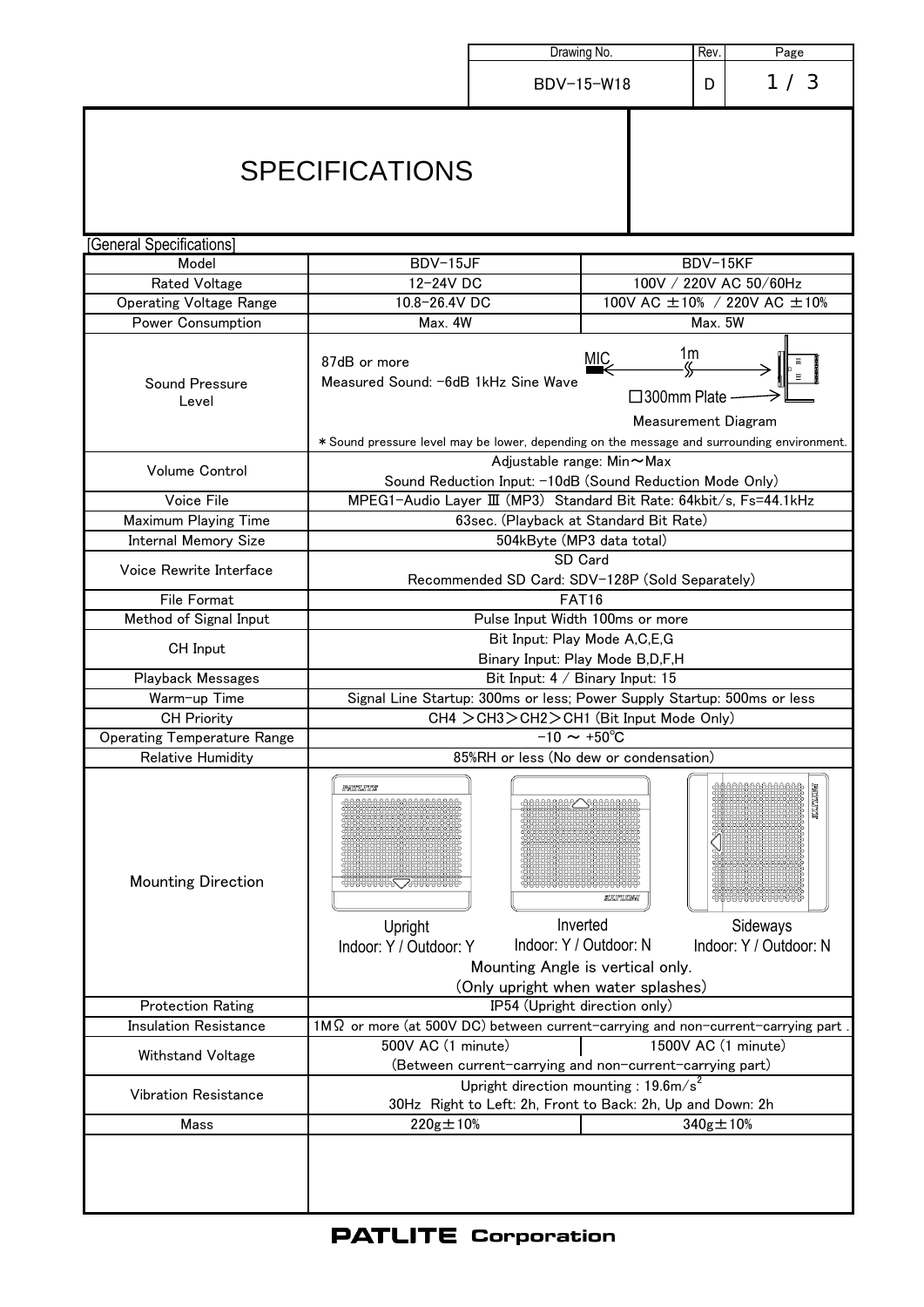|                                                     |                                                                                                                                                                                                                                                                                                                                                                                                                       | Drawing No.<br>Rev.                                                                                            |          | Page                        |                                                       |  |
|-----------------------------------------------------|-----------------------------------------------------------------------------------------------------------------------------------------------------------------------------------------------------------------------------------------------------------------------------------------------------------------------------------------------------------------------------------------------------------------------|----------------------------------------------------------------------------------------------------------------|----------|-----------------------------|-------------------------------------------------------|--|
|                                                     |                                                                                                                                                                                                                                                                                                                                                                                                                       | BDV-15-W18                                                                                                     |          | D                           | 1/3                                                   |  |
|                                                     | <b>SPECIFICATIONS</b>                                                                                                                                                                                                                                                                                                                                                                                                 |                                                                                                                |          |                             |                                                       |  |
| [General Specifications]                            |                                                                                                                                                                                                                                                                                                                                                                                                                       |                                                                                                                |          |                             |                                                       |  |
| Model                                               | BDV-15JF                                                                                                                                                                                                                                                                                                                                                                                                              |                                                                                                                |          | BDV-15KF                    |                                                       |  |
| <b>Rated Voltage</b>                                | 12-24V DC                                                                                                                                                                                                                                                                                                                                                                                                             |                                                                                                                |          | 100V / 220V AC 50/60Hz      |                                                       |  |
| <b>Operating Voltage Range</b>                      | 10.8-26.4V DC                                                                                                                                                                                                                                                                                                                                                                                                         |                                                                                                                |          | 100V AC ±10% / 220V AC ±10% |                                                       |  |
| <b>Power Consumption</b><br>Sound Pressure<br>Level | Max. 4W<br>Max. 5W<br>1 <sub>m</sub><br><u>MIC</u><br>87dB or more<br>$-\frac{1}{2}$<br>Measured Sound: -6dB 1kHz Sine Wave<br>$\square$ 300mm Plate<br>Measurement Diagram<br>* Sound pressure level may be lower, depending on the message and surrounding environment.                                                                                                                                             |                                                                                                                |          |                             |                                                       |  |
| Volume Control                                      | Adjustable range: Min~Max<br>Sound Reduction Input: -10dB (Sound Reduction Mode Only)                                                                                                                                                                                                                                                                                                                                 |                                                                                                                |          |                             |                                                       |  |
| Voice File                                          | MPEG1-Audio Layer III (MP3) Standard Bit Rate: 64kbit/s, Fs=44.1kHz                                                                                                                                                                                                                                                                                                                                                   |                                                                                                                |          |                             |                                                       |  |
| <b>Maximum Playing Time</b>                         |                                                                                                                                                                                                                                                                                                                                                                                                                       | 63sec. (Playback at Standard Bit Rate)                                                                         |          |                             |                                                       |  |
| Internal Memory Size                                |                                                                                                                                                                                                                                                                                                                                                                                                                       | 504kByte (MP3 data total)                                                                                      |          |                             |                                                       |  |
| Voice Rewrite Interface                             |                                                                                                                                                                                                                                                                                                                                                                                                                       | SD Card<br>Recommended SD Card: SDV-128P (Sold Separately)                                                     |          |                             |                                                       |  |
| File Format                                         |                                                                                                                                                                                                                                                                                                                                                                                                                       | <b>FAT16</b>                                                                                                   |          |                             |                                                       |  |
| Method of Signal Input                              |                                                                                                                                                                                                                                                                                                                                                                                                                       | Pulse Input Width 100ms or more                                                                                |          |                             |                                                       |  |
| CH Input                                            | Bit Input: Play Mode A,C,E,G<br>Binary Input: Play Mode B,D,F,H                                                                                                                                                                                                                                                                                                                                                       |                                                                                                                |          |                             |                                                       |  |
| Playback Messages                                   | Bit Input: 4 / Binary Input: 15                                                                                                                                                                                                                                                                                                                                                                                       |                                                                                                                |          |                             |                                                       |  |
| Warm-up Time                                        | Signal Line Startup: 300ms or less; Power Supply Startup: 500ms or less                                                                                                                                                                                                                                                                                                                                               |                                                                                                                |          |                             |                                                       |  |
| <b>CH Priority</b>                                  | CH4 > CH3 > CH2 > CH1 (Bit Input Mode Only)                                                                                                                                                                                                                                                                                                                                                                           |                                                                                                                |          |                             |                                                       |  |
| Operating Temperature Range<br>Relative Humidity    | $-10 \sim +50^{\circ}C$<br>85%RH or less (No dew or condensation)                                                                                                                                                                                                                                                                                                                                                     |                                                                                                                |          |                             |                                                       |  |
| <b>Mounting Direction</b>                           | <b>JPANTILITITIS</b><br>$\begin{picture}(150,10) \put(0,0){\line(1,0){10}} \put(0,0){\line(1,0){10}} \put(0,0){\line(1,0){10}} \put(0,0){\line(1,0){10}} \put(0,0){\line(1,0){10}} \put(0,0){\line(1,0){10}} \put(0,0){\line(1,0){10}} \put(0,0){\line(1,0){10}} \put(0,0){\line(1,0){10}} \put(0,0){\line(1,0){10}} \put(0,0){\line(1,0){10}} \put(0,0){\line(1,0){10}} \put(0$<br>Upright<br>Indoor: Y / Outdoor: Y | Inverted<br>Indoor: Y / Outdoor: N<br>Mounting Angle is vertical only.<br>(Only upright when water splashes)   | SUUTUUWA |                             | <b>SMALLINE</b><br>Sideways<br>Indoor: Y / Outdoor: N |  |
| <b>Protection Rating</b>                            | IP54 (Upright direction only)                                                                                                                                                                                                                                                                                                                                                                                         |                                                                                                                |          |                             |                                                       |  |
| <b>Insulation Resistance</b>                        | $1M\Omega$ or more (at 500V DC) between current-carrying and non-current-carrying part                                                                                                                                                                                                                                                                                                                                |                                                                                                                |          |                             |                                                       |  |
| Withstand Voltage                                   | 500V AC (1 minute)                                                                                                                                                                                                                                                                                                                                                                                                    | (Between current-carrying and non-current-carrying part)                                                       |          |                             | 1500V AC (1 minute)                                   |  |
| Vibration Resistance                                |                                                                                                                                                                                                                                                                                                                                                                                                                       | Upright direction mounting : $19.6 \text{m/s}^2$<br>30Hz Right to Left: 2h, Front to Back: 2h, Up and Down: 2h |          |                             |                                                       |  |
| Mass                                                | $220g \pm 10\%$                                                                                                                                                                                                                                                                                                                                                                                                       |                                                                                                                |          | $340g \pm 10%$              |                                                       |  |
|                                                     |                                                                                                                                                                                                                                                                                                                                                                                                                       |                                                                                                                |          |                             |                                                       |  |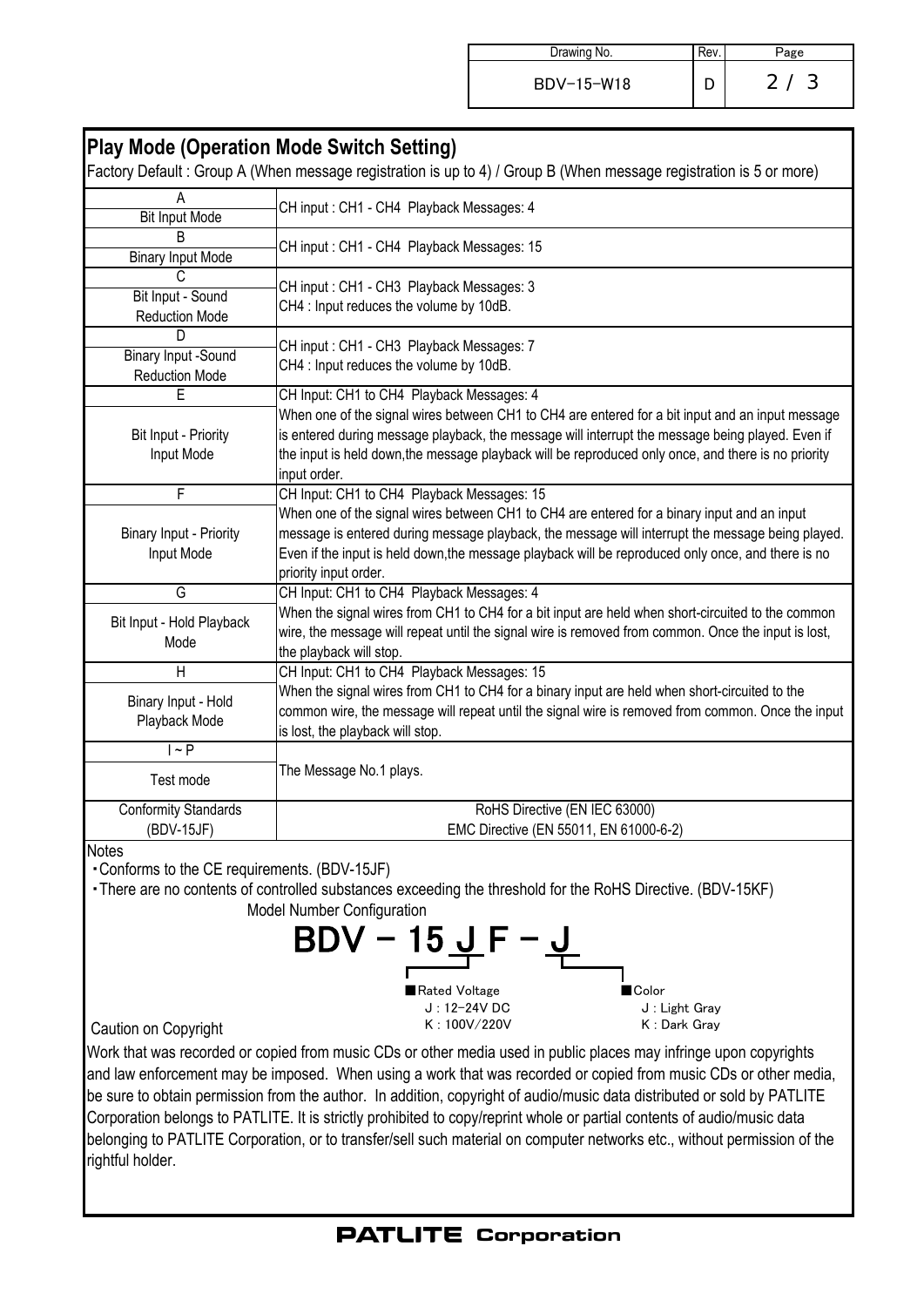| Drawing No. | ∽age               |
|-------------|--------------------|
| BDV-15-W18  | -3<br>$\mathbf{2}$ |

| <b>Play Mode (Operation Mode Switch Setting)</b><br>Factory Default: Group A (When message registration is up to 4) / Group B (When message registration is 5 or more)                                                                                                                                                         |
|--------------------------------------------------------------------------------------------------------------------------------------------------------------------------------------------------------------------------------------------------------------------------------------------------------------------------------|
| CH input: CH1 - CH4 Playback Messages: 4                                                                                                                                                                                                                                                                                       |
| CH input: CH1 - CH4 Playback Messages: 15                                                                                                                                                                                                                                                                                      |
| CH input: CH1 - CH3 Playback Messages: 3<br>CH4 : Input reduces the volume by 10dB.                                                                                                                                                                                                                                            |
| CH input: CH1 - CH3 Playback Messages: 7<br>CH4 : Input reduces the volume by 10dB.                                                                                                                                                                                                                                            |
| CH Input: CH1 to CH4 Playback Messages: 4                                                                                                                                                                                                                                                                                      |
| When one of the signal wires between CH1 to CH4 are entered for a bit input and an input message<br>is entered during message playback, the message will interrupt the message being played. Even if<br>the input is held down, the message playback will be reproduced only once, and there is no priority<br>input order.    |
| CH Input: CH1 to CH4 Playback Messages: 15                                                                                                                                                                                                                                                                                     |
| When one of the signal wires between CH1 to CH4 are entered for a binary input and an input<br>message is entered during message playback, the message will interrupt the message being played.<br>Even if the input is held down, the message playback will be reproduced only once, and there is no<br>priority input order. |
| CH Input: CH1 to CH4 Playback Messages: 4                                                                                                                                                                                                                                                                                      |
| When the signal wires from CH1 to CH4 for a bit input are held when short-circuited to the common<br>wire, the message will repeat until the signal wire is removed from common. Once the input is lost,<br>the playback will stop.                                                                                            |
| CH Input: CH1 to CH4 Playback Messages: 15                                                                                                                                                                                                                                                                                     |
| When the signal wires from CH1 to CH4 for a binary input are held when short-circuited to the<br>common wire, the message will repeat until the signal wire is removed from common. Once the input<br>is lost, the playback will stop.                                                                                         |
|                                                                                                                                                                                                                                                                                                                                |
| The Message No.1 plays.                                                                                                                                                                                                                                                                                                        |
| RoHS Directive (EN IEC 63000)<br>EMC Directive (EN 55011, EN 61000-6-2)                                                                                                                                                                                                                                                        |
|                                                                                                                                                                                                                                                                                                                                |

Notes

・Conforms to the CE requirements. (BDV-15JF)

Model Number Configuration ・There are no contents of controlled substances exceeding the threshold for the RoHS Directive. (BDV-15KF)

$$
\text{BDV} - 15 \underbrace{\text{J F}}_{\text{Rated Voltage}} - \underbrace{\text{J} \underbrace{\text{J} \underbrace{\text{J}}}_{\text{J} : 12-24 \lor \text{DC}}}_{\text{K} : 100 \lor /220 \lor \text{K} : \text{Dark Gray}}
$$

Caution on Copyright

Work that was recorded or copied from music CDs or other media used in public places may infringe upon copyrights and law enforcement may be imposed. When using a work that was recorded or copied from music CDs or other media, be sure to obtain permission from the author. In addition, copyright of audio/music data distributed or sold by PATLITE Corporation belongs to PATLITE. It is strictly prohibited to copy/reprint whole or partial contents of audio/music data belonging to PATLITE Corporation, or to transfer/sell such material on computer networks etc., without permission of the rightful holder.